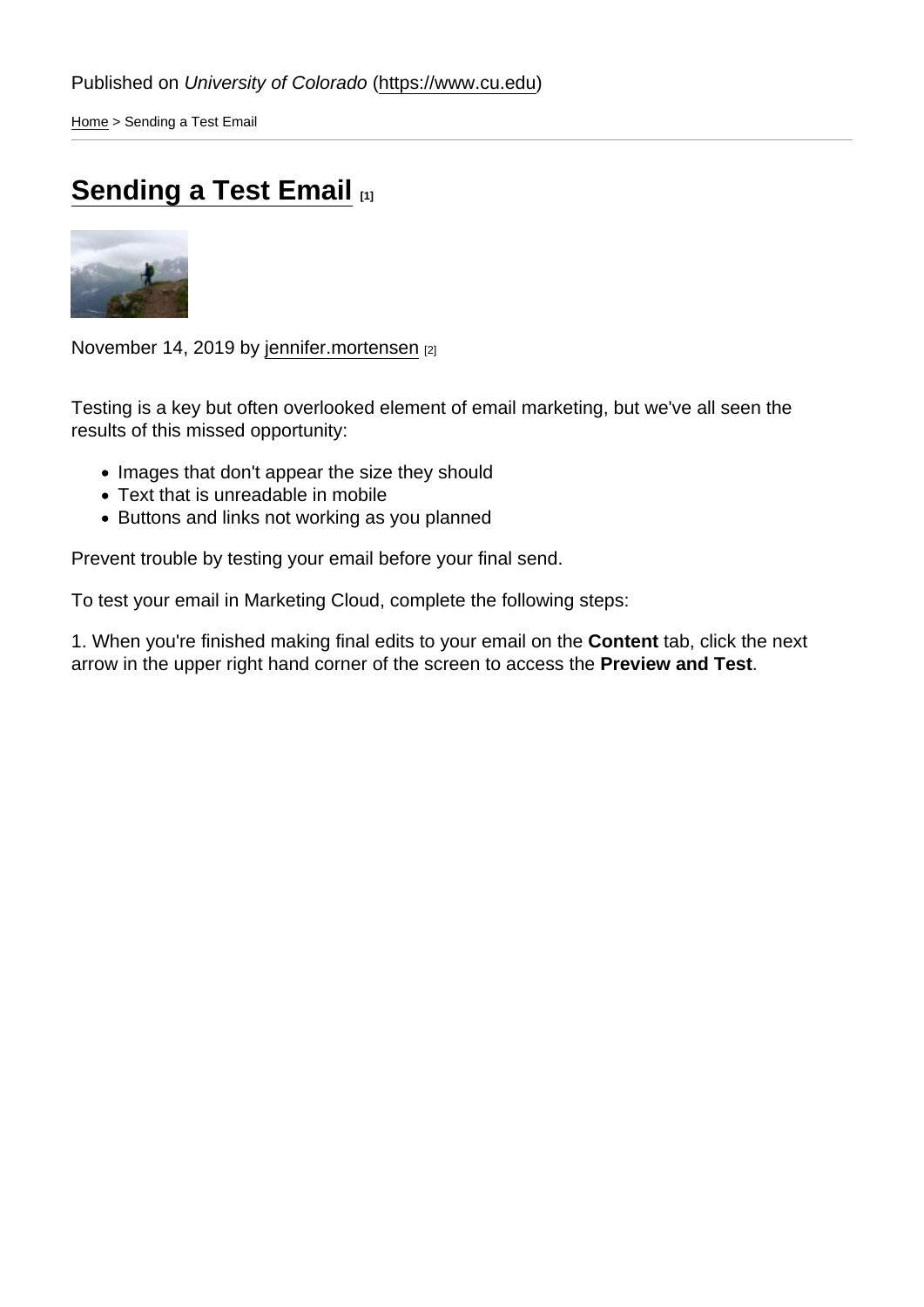[Home](https://www.cu.edu/) > Sending a Test Email

## [Sending a Test Email](https://www.cu.edu/blog/ecomm-wiki/sending-test-email) [1]

November 14, 2019 by [jennifer.mortensen](https://www.cu.edu/blog/ecomm-wiki/author/13789) [2]

Testing is a key but often overlooked element of email marketing, but we've all seen the results of this missed opportunity:

- Images that don't appear the size they should
- Text that is unreadable in mobile
- Buttons and links not working as you planned

Prevent trouble by testing your email before your final send.

To test your email in Marketing Cloud, complete the following steps:

1. When you're finished making final edits to your email on the Content tab, click the next arrow in the upper right hand corner of the screen to access the Preview and Test .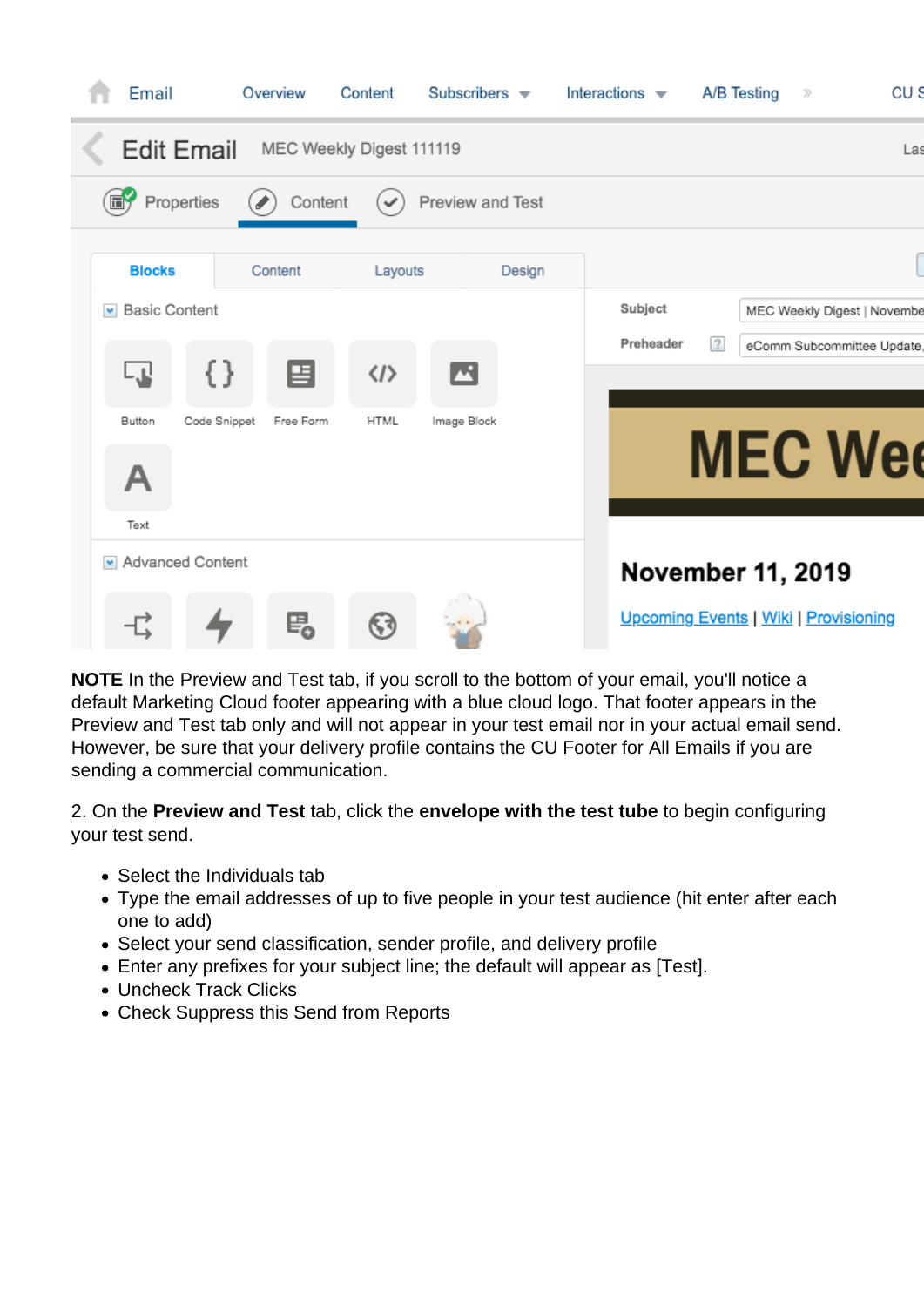| Email                                | Overview                  | Content                                 | Subscribers $\blacktriangledown$ | Interactions $\blacktriangledown$ | CU S<br>A/B Testing<br>$\gg$                |
|--------------------------------------|---------------------------|-----------------------------------------|----------------------------------|-----------------------------------|---------------------------------------------|
| <b>Edit Email</b>                    |                           | MEC Weekly Digest 111119                |                                  |                                   | La:                                         |
| Properties<br>6Ý                     | Content                   | $\checkmark$                            | Preview and Test                 |                                   |                                             |
| <b>Blocks</b>                        | Content                   | Layouts                                 | Design                           |                                   |                                             |
| <b>Basic Content</b><br>$\mathbf{w}$ |                           |                                         |                                  | Subject                           | MEC Weekly Digest   Novembe                 |
| ار با                                | {}<br>百                   | $\blacksquare$<br>$\langle$ / $\rangle$ |                                  | Preheader                         | $\overline{?}$<br>eComm Subcommittee Update |
|                                      |                           |                                         |                                  |                                   |                                             |
| Button                               | Code Snippet<br>Free Form | <b>HTML</b><br>Image Block              |                                  |                                   | <b>MEC Wee</b>                              |
| А                                    |                           |                                         |                                  |                                   |                                             |
| Text                                 |                           |                                         |                                  |                                   |                                             |
| My Advanced Content                  |                           |                                         |                                  |                                   | <b>November 11, 2019</b>                    |
|                                      | 喝                         | ६३                                      |                                  |                                   | Upcoming Events   Wiki   Provisioning       |
|                                      |                           |                                         |                                  |                                   |                                             |

**NOTE** In the Preview and Test tab, if you scroll to the bottom of your email, you'll notice a default Marketing Cloud footer appearing with a blue cloud logo. That footer appears in the Preview and Test tab only and will not appear in your test email nor in your actual email send. However, be sure that your delivery profile contains the CU Footer for All Emails if you are sending a commercial communication.

2. On the **Preview and Test** tab, click the **envelope with the test tube** to begin configuring your test send.

- Select the Individuals tab
- Type the email addresses of up to five people in your test audience (hit enter after each one to add)
- Select your send classification, sender profile, and delivery profile
- Enter any prefixes for your subject line; the default will appear as [Test].
- Uncheck Track Clicks
- Check Suppress this Send from Reports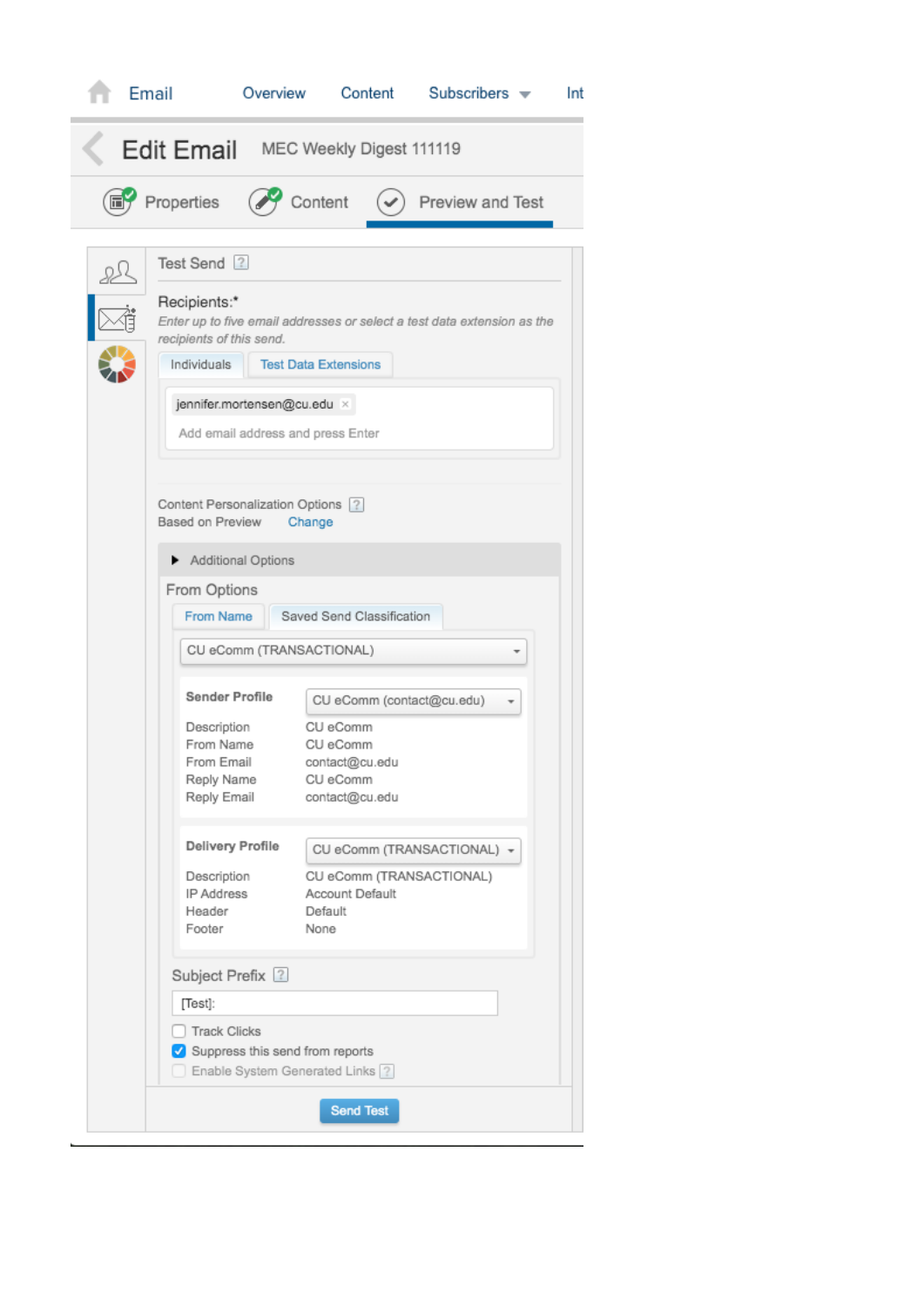|                                        | Email                                                                                                                                                                                                                                                                                          | Overview                                                                                                                                                                   | Content                                                                                                                                                                       | Subscribers $\blacktriangledown$                                                                      |  | Int |  |  |  |  |
|----------------------------------------|------------------------------------------------------------------------------------------------------------------------------------------------------------------------------------------------------------------------------------------------------------------------------------------------|----------------------------------------------------------------------------------------------------------------------------------------------------------------------------|-------------------------------------------------------------------------------------------------------------------------------------------------------------------------------|-------------------------------------------------------------------------------------------------------|--|-----|--|--|--|--|
| Edit Email<br>MEC Weekly Digest 111119 |                                                                                                                                                                                                                                                                                                |                                                                                                                                                                            |                                                                                                                                                                               |                                                                                                       |  |     |  |  |  |  |
|                                        | Properties                                                                                                                                                                                                                                                                                     | Content                                                                                                                                                                    |                                                                                                                                                                               | Preview and Test                                                                                      |  |     |  |  |  |  |
|                                        | Test Send ?<br>Recipients:*<br>recipients of this send.<br>Individuals<br>Based on Preview<br>Additional Options<br>From Options<br>From Name<br>Sender Profile<br>Description<br>From Name<br>From Email<br>Reply Name<br>Reply Email<br><b>Delivery Profile</b><br>Description<br>IP Address | <b>Test Data Extensions</b><br>jennifer.mortensen@cu.edu ×<br>Add email address and press Enter<br>Content Personalization Options 2<br>Change<br>CU eComm (TRANSACTIONAL) | Saved Send Classification<br>CU eComm (contact@cu.edu)<br>CU eComm<br>CU eComm<br>contact@cu.edu<br>CU eComm<br>contact@cu.edu<br>CU eComm (TRANSACTIONAL)<br>Account Default | Enter up to five email addresses or select a test data extension as the<br>CU eComm (TRANSACTIONAL) + |  |     |  |  |  |  |
|                                        | Footer<br>Subject Prefix 2<br>[Test]:<br><b>Track Clicks</b>                                                                                                                                                                                                                                   | None<br>Suppress this send from reports<br>Enable System Generated Links ?                                                                                                 |                                                                                                                                                                               |                                                                                                       |  |     |  |  |  |  |
|                                        |                                                                                                                                                                                                                                                                                                |                                                                                                                                                                            | <b>Send Test</b>                                                                                                                                                              |                                                                                                       |  |     |  |  |  |  |